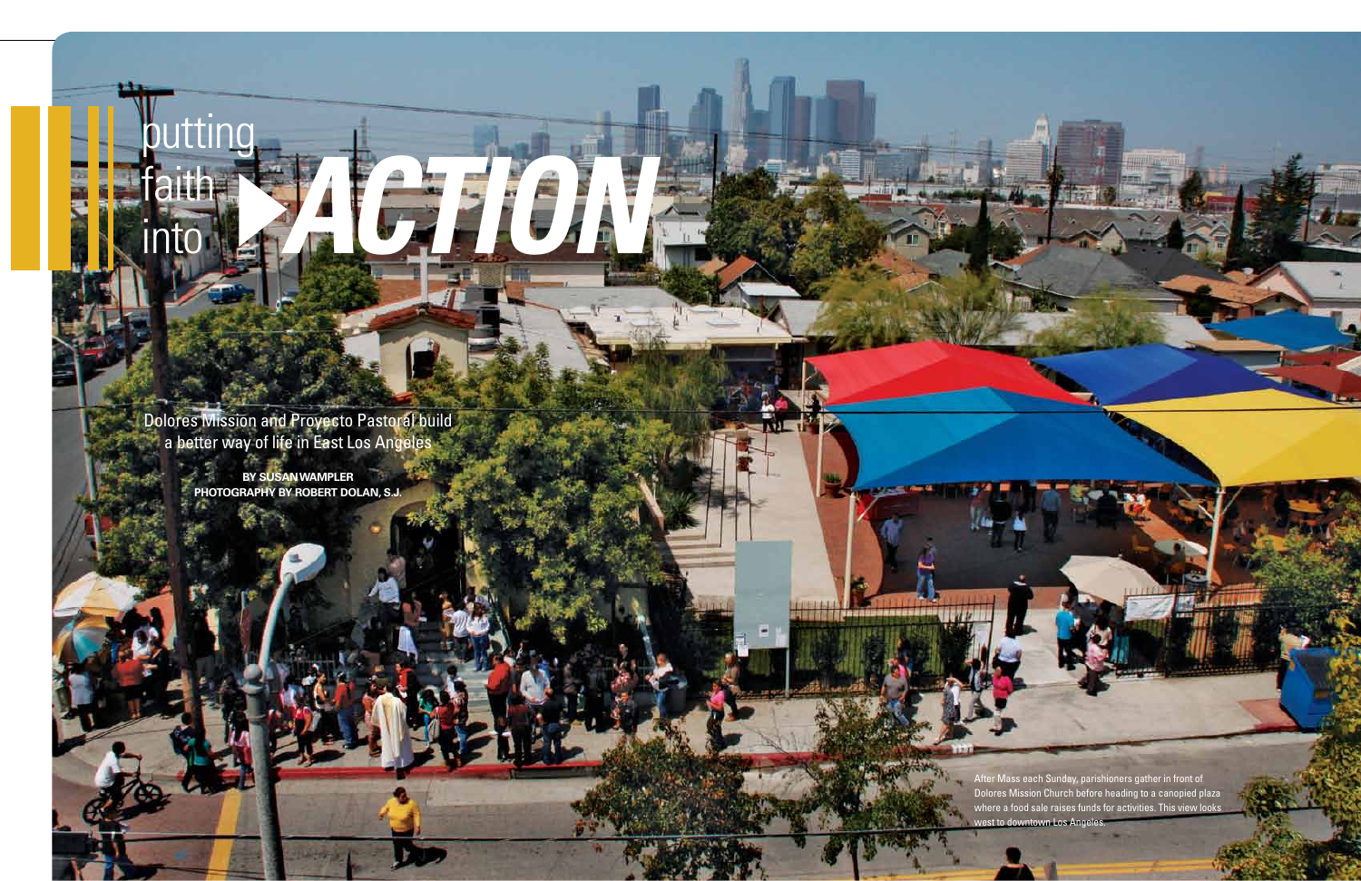*action* putting

faith

**into** 

Dolores Mission and Proyecto Pastoral build a better way of life in East Los Angeles

> **by Susan Wampler Photography by Robert Dolan, S.J.**

> > After Mass each Sunday, parishioners gather in front of Dolores Mission Church before heading to a canopied plaza where a food sale raises funds for activities. This view looks west to downtown Los Angeles.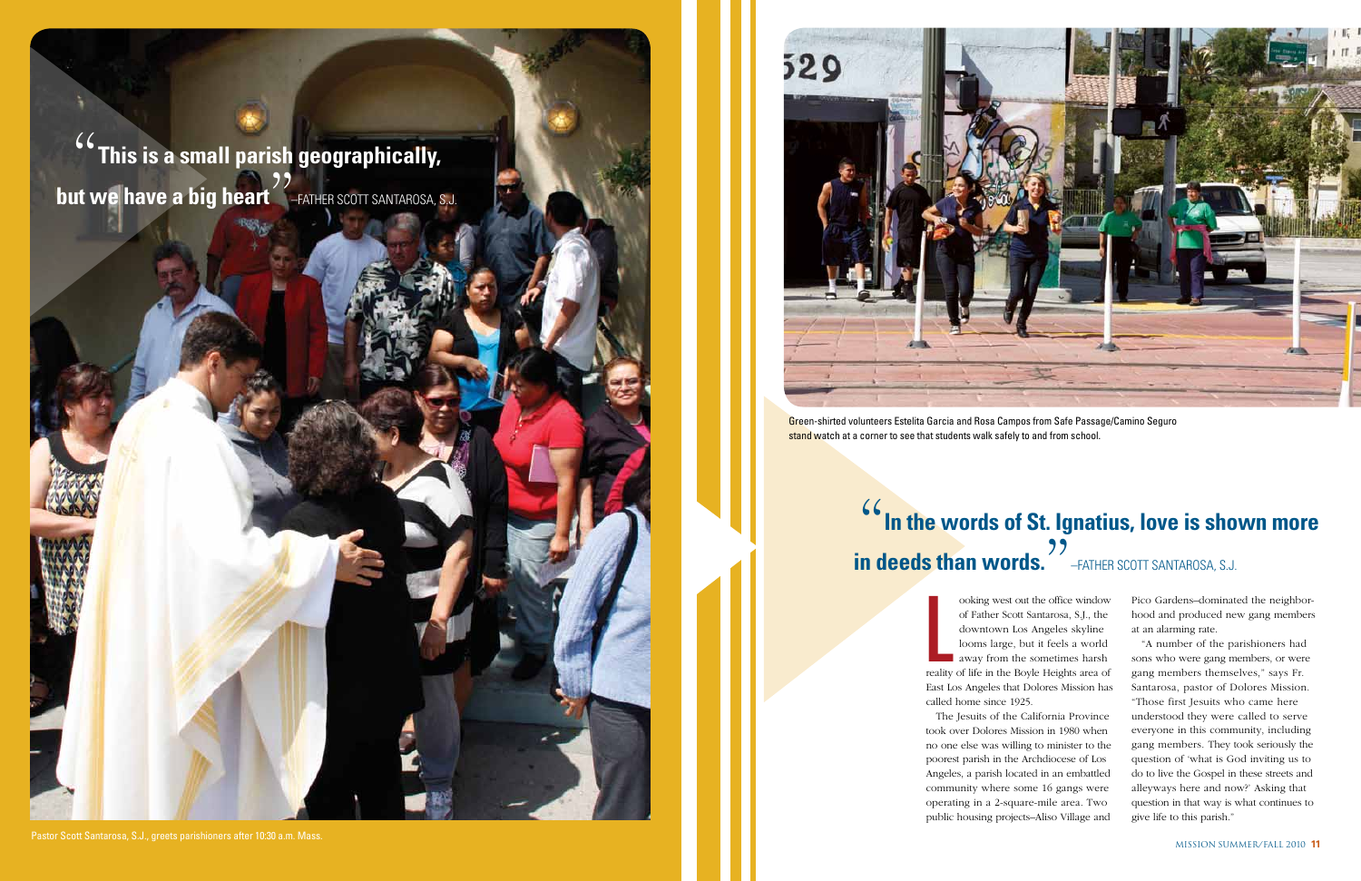Pico Gardens–dominated the neighborhood and produced new gang members at an alarming rate.

"A number of the parishioners had sons who were gang members, or were gang members themselves," says Fr. Santarosa, pastor of Dolores Mission. "Those first Jesuits who came here understood they were called to serve everyone in this community, including gang members. They took seriously the question of 'what is God inviting us to do to live the Gospel in these streets and alleyways here and now?' Asking that question in that way is what continues to give life to this parish."

ooking west out the office window<br>of Father Scott Santarosa, S.J., the<br>downtown Los Angeles skyline<br>looms large, but it feels a world<br>away from the sometimes harsh<br>reality of life in the Boyle Heights area of ooking west out the office window of Father Scott Santarosa, S.J., the downtown Los Angeles skyline looms large, but it feels a world away from the sometimes harsh East Los Angeles that Dolores Mission has called home since 1925.

## **(** $**T**$  **in the words of St. Ignatius, love is shown more in deeds than words.** –Father Scott Santarosa, S.J.

Green-shirted volunteers Estelita Garcia and Rosa Campos from Safe Passage/Camino Seguro stand watch at a corner to see that students walk safely to and from school.

**This is a small parish geographically, but we have a big heart**<br>-<br>" –Father Scott Santarosa, S.J.

> The Jesuits of the California Province took over Dolores Mission in 1980 when no one else was willing to minister to the poorest parish in the Archdiocese of Los Angeles, a parish located in an embattled community where some 16 gangs were operating in a 2-square-mile area. Two public housing projects–Aliso Village and



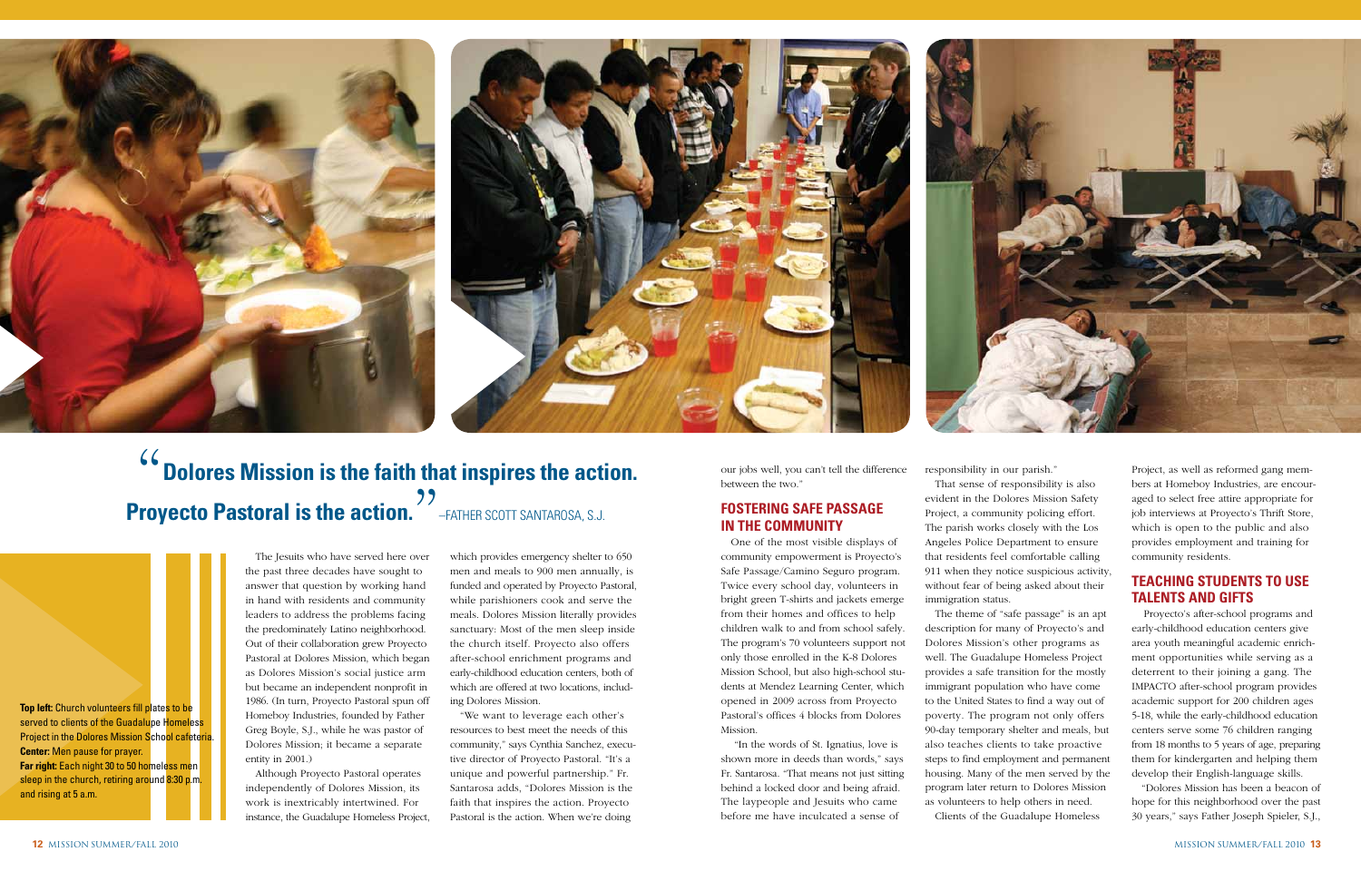The Jesuits who have served here over the past three decades have sought to answer that question by working hand in hand with residents and community leaders to address the problems facing the predominately Latino neighborhood. Out of their collaboration grew Proyecto Pastoral at Dolores Mission, which began as Dolores Mission's social justice arm but became an independent nonprofit in 1986. (In turn, Proyecto Pastoral spun off Homeboy Industries, founded by Father Greg Boyle, S.J., while he was pastor of Dolores Mission; it became a separate entity in 2001.)

Although Proyecto Pastoral operates independently of Dolores Mission, its work is inextricably intertwined. For instance, the Guadalupe Homeless Project, which provides emergency shelter to 650 men and meals to 900 men annually, is funded and operated by Proyecto Pastoral, while parishioners cook and serve the meals. Dolores Mission literally provides sanctuary: Most of the men sleep inside the church itself. Proyecto also offers after-school enrichment programs and early-childhood education centers, both of which are offered at two locations, including Dolores Mission.

"We want to leverage each other's resources to best meet the needs of this community," says Cynthia Sanchez, executive director of Proyecto Pastoral. "It's a unique and powerful partnership." Fr. Santarosa adds, "Dolores Mission is the faith that inspires the action. Proyecto Pastoral is the action. When we're doing

our jobs well, you can't tell the difference between the two."

#### **Fostering safe passage in the community**

One of the most visible displays of community empowerment is Proyecto's Safe Passage/Camino Seguro program. Twice every school day, volunteers in bright green T-shirts and jackets emerge from their homes and offices to help children walk to and from school safely. The program's 70 volunteers support not only those enrolled in the K-8 Dolores Mission School, but also high-school students at Mendez Learning Center, which opened in 2009 across from Proyecto Pastoral's offices 4 blocks from Dolores Mission.

 "In the words of St. Ignatius, love is shown more in deeds than words," says Fr. Santarosa. "That means not just sitting behind a locked door and being afraid. The laypeople and Jesuits who came before me have inculcated a sense of





responsibility in our parish."

That sense of responsibility is also evident in the Dolores Mission Safety Project, a community policing effort. The parish works closely with the Los Angeles Police Department to ensure that residents feel comfortable calling 911 when they notice suspicious activity, without fear of being asked about their immigration status.



The theme of "safe passage" is an apt description for many of Proyecto's and Dolores Mission's other programs as well. The Guadalupe Homeless Project provides a safe transition for the mostly immigrant population who have come to the United States to find a way out of poverty. The program not only offers 90-day temporary shelter and meals, but also teaches clients to take proactive steps to find employment and permanent housing. Many of the men served by the program later return to Dolores Mission as volunteers to help others in need. Clients of the Guadalupe Homeless

## "**Dolores Mission is the faith that inspires the action. Proyecto Pastoral is the action.**" –Father Scott Santarosa, S.J.

Project, as well as reformed gang members at Homeboy Industries, are encouraged to select free attire appropriate for job interviews at Proyecto's Thrift Store, which is open to the public and also provides employment and training for community residents.

#### **Teaching students to use talents and gifts**

Proyecto's after-school programs and early-childhood education centers give area youth meaningful academic enrichment opportunities while serving as a deterrent to their joining a gang. The IMPACTO after-school program provides academic support for 200 children ages 5-18, while the early-childhood education centers serve some 76 children ranging from 18 months to 5 years of age, preparing them for kindergarten and helping them develop their English-language skills.

"Dolores Mission has been a beacon of hope for this neighborhood over the past 30 years," says Father Joseph Spieler, S.J.,

**Top left:** Church volunteers fill plates to be served to clients of the Guadalupe Homeless Project in the Dolores Mission School cafeteria. **Center:** Men pause for prayer. **Far right:** Each night 30 to 50 homeless men sleep in the church, retiring around 8:30 p.m. and rising at 5 a.m.